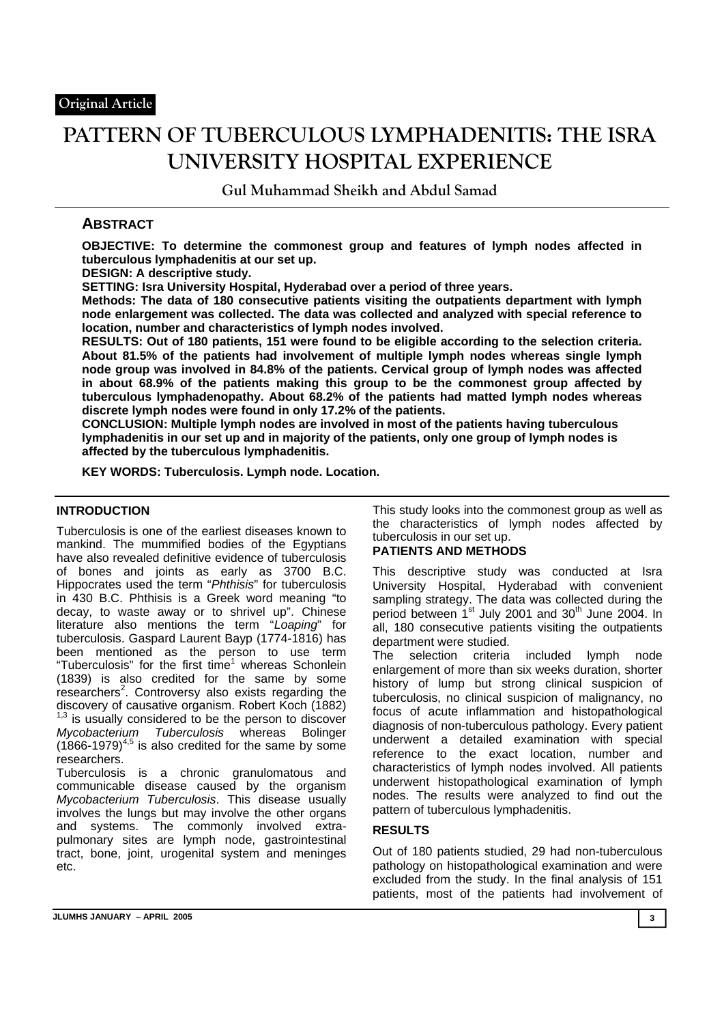# **PATTERN OF TUBERCULOUS LYMPHADENITIS: THE ISRA UNIVERSITY HOSPITAL EXPERIENCE**

**Gul Muhammad Sheikh and Abdul Samad**

# **ABSTRACT**

**OBJECTIVE: To determine the commonest group and features of lymph nodes affected in tuberculous lymphadenitis at our set up.** 

**DESIGN: A descriptive study.** 

**SETTING: Isra University Hospital, Hyderabad over a period of three years.** 

**Methods: The data of 180 consecutive patients visiting the outpatients department with lymph node enlargement was collected. The data was collected and analyzed with special reference to location, number and characteristics of lymph nodes involved.** 

**RESULTS: Out of 180 patients, 151 were found to be eligible according to the selection criteria. About 81.5% of the patients had involvement of multiple lymph nodes whereas single lymph node group was involved in 84.8% of the patients. Cervical group of lymph nodes was affected in about 68.9% of the patients making this group to be the commonest group affected by tuberculous lymphadenopathy. About 68.2% of the patients had matted lymph nodes whereas discrete lymph nodes were found in only 17.2% of the patients.** 

**CONCLUSION: Multiple lymph nodes are involved in most of the patients having tuberculous lymphadenitis in our set up and in majority of the patients, only one group of lymph nodes is affected by the tuberculous lymphadenitis.** 

**KEY WORDS: Tuberculosis. Lymph node. Location.**

## **INTRODUCTION**

Tuberculosis is one of the earliest diseases known to mankind. The mummified bodies of the Egyptians have also revealed definitive evidence of tuberculosis of bones and joints as early as 3700 B.C. Hippocrates used the term "*Phthisis*" for tuberculosis in 430 B.C. Phthisis is a Greek word meaning "to decay, to waste away or to shrivel up". Chinese literature also mentions the term "*Loaping*" for tuberculosis. Gaspard Laurent Bayp (1774-1816) has been mentioned as the person to use term "Tuberculosis" for the first time<sup>1</sup> whereas Schonlein (1839) is also credited for the same by some researchers<sup>2</sup>. Controversy also exists regarding the discovery of causative organism. Robert Koch (1882)  $1,3$  is usually considered to be the person to discover *Mycobacterium Tuberculosis* whereas Bolinger  $(1866-1979)^{4,5}$  is also credited for the same by some researchers.

Tuberculosis is a chronic granulomatous and communicable disease caused by the organism *Mycobacterium Tuberculosis*. This disease usually involves the lungs but may involve the other organs and systems. The commonly involved extrapulmonary sites are lymph node, gastrointestinal tract, bone, joint, urogenital system and meninges etc.

This study looks into the commonest group as well as the characteristics of lymph nodes affected by tuberculosis in our set up.

## **PATIENTS AND METHODS**

This descriptive study was conducted at Isra University Hospital, Hyderabad with convenient sampling strategy. The data was collected during the period between 1<sup>st</sup> July 2001 and 30<sup>th</sup> June 2004. In all, 180 consecutive patients visiting the outpatients department were studied.

The selection criteria included lymph node enlargement of more than six weeks duration, shorter history of lump but strong clinical suspicion of tuberculosis, no clinical suspicion of malignancy, no focus of acute inflammation and histopathological diagnosis of non-tuberculous pathology. Every patient underwent a detailed examination with special reference to the exact location, number and characteristics of lymph nodes involved. All patients underwent histopathological examination of lymph nodes. The results were analyzed to find out the pattern of tuberculous lymphadenitis.

## **RESULTS**

Out of 180 patients studied, 29 had non-tuberculous pathology on histopathological examination and were excluded from the study. In the final analysis of 151 patients, most of the patients had involvement of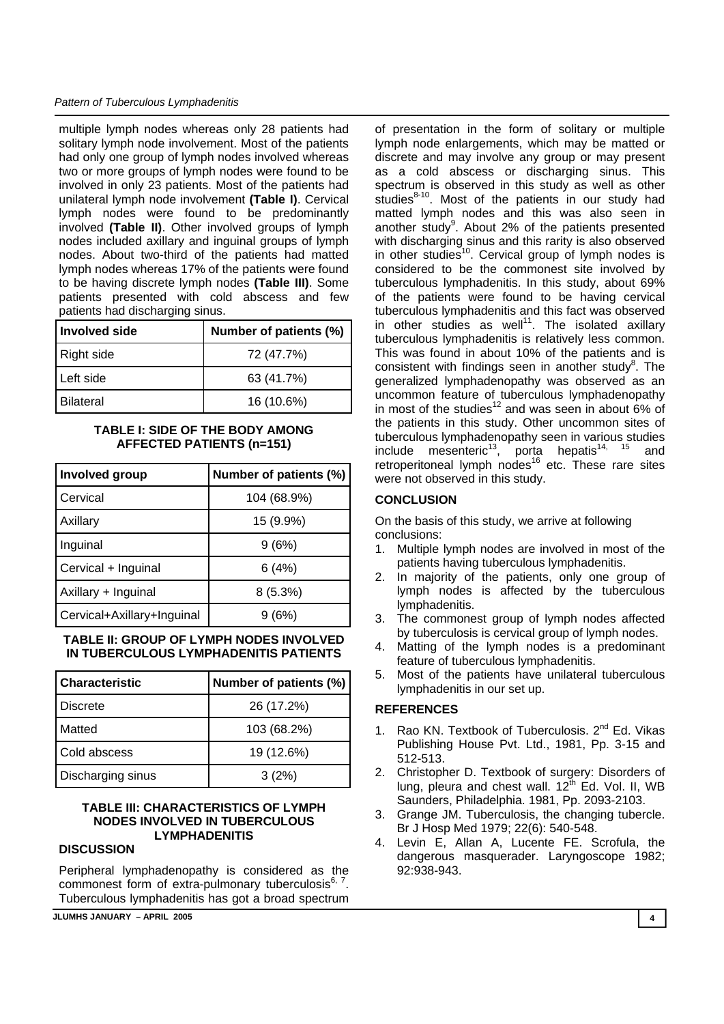#### *Pattern of Tuberculous Lymphadenitis*

multiple lymph nodes whereas only 28 patients had solitary lymph node involvement. Most of the patients had only one group of lymph nodes involved whereas two or more groups of lymph nodes were found to be involved in only 23 patients. Most of the patients had unilateral lymph node involvement **(Table I)**. Cervical lymph nodes were found to be predominantly involved **(Table II)**. Other involved groups of lymph nodes included axillary and inguinal groups of lymph nodes. About two-third of the patients had matted lymph nodes whereas 17% of the patients were found to be having discrete lymph nodes **(Table III)**. Some patients presented with cold abscess and few patients had discharging sinus.

| l Involved side  | Number of patients (%) |
|------------------|------------------------|
| Right side       | 72 (47.7%)             |
| Left side        | 63 (41.7%)             |
| <b>Bilateral</b> | 16 (10.6%)             |

### **TABLE I: SIDE OF THE BODY AMONG AFFECTED PATIENTS (n=151)**

| Involved group             | Number of patients (%) |
|----------------------------|------------------------|
| Cervical                   | 104 (68.9%)            |
| Axillary                   | 15 (9.9%)              |
| Inguinal                   | 9(6%)                  |
| Cervical + Inguinal        | 6(4%)                  |
| Axillary + Inguinal        | $8(5.3\%)$             |
| Cervical+Axillary+Inguinal | (6%)                   |

#### **TABLE II: GROUP OF LYMPH NODES INVOLVED IN TUBERCULOUS LYMPHADENITIS PATIENTS**

| l Characteristic  | Number of patients (%) |
|-------------------|------------------------|
| l Discrete        | 26 (17.2%)             |
| Matted            | 103 (68.2%)            |
| Cold abscess      | 19 (12.6%)             |
| Discharging sinus | 3(2%)                  |

#### **TABLE III: CHARACTERISTICS OF LYMPH NODES INVOLVED IN TUBERCULOUS LYMPHADENITIS**

### **DISCUSSION**

Peripheral lymphadenopathy is considered as the commonest form of extra-pulmonary tuberculosis $6, 7$ . Tuberculous lymphadenitis has got a broad spectrum

**JLUMHS JANUARY – APRIL 2005 4** 

of presentation in the form of solitary or multiple lymph node enlargements, which may be matted or discrete and may involve any group or may present as a cold abscess or discharging sinus. This spectrum is observed in this study as well as other studies $8-10$ . Most of the patients in our study had matted lymph nodes and this was also seen in another study<sup>9</sup>. About 2% of the patients presented with discharging sinus and this rarity is also observed in other studies<sup>10</sup>. Cervical group of lymph nodes is considered to be the commonest site involved by tuberculous lymphadenitis. In this study, about 69% of the patients were found to be having cervical tuberculous lymphadenitis and this fact was observed in other studies as well<sup>11</sup>. The isolated axillary tuberculous lymphadenitis is relatively less common. This was found in about 10% of the patients and is consistent with findings seen in another study $8$ . The generalized lymphadenopathy was observed as an uncommon feature of tuberculous lymphadenopathy in most of the studies<sup>12</sup> and was seen in about 6% of the patients in this study. Other uncommon sites of tuberculous lymphadenopathy seen in various studies include mesenteric<sup>13</sup>, porta hepatis<sup>14, 15</sup> and retroperitoneal lymph nodes<sup>16</sup> etc. These rare sites were not observed in this study.

## **CONCLUSION**

On the basis of this study, we arrive at following conclusions:

- 1. Multiple lymph nodes are involved in most of the patients having tuberculous lymphadenitis.
- 2. In majority of the patients, only one group of lymph nodes is affected by the tuberculous lymphadenitis.
- 3. The commonest group of lymph nodes affected by tuberculosis is cervical group of lymph nodes.
- 4. Matting of the lymph nodes is a predominant feature of tuberculous lymphadenitis.
- 5. Most of the patients have unilateral tuberculous lymphadenitis in our set up.

### **REFERENCES**

- 1. Rao KN. Textbook of Tuberculosis. 2<sup>nd</sup> Ed. Vikas Publishing House Pvt. Ltd., 1981, Pp. 3-15 and 512-513.
- 2. Christopher D. Textbook of surgery: Disorders of lung, pleura and chest wall.  $12^{th}$  Ed. Vol. II, WB Saunders, Philadelphia. 1981, Pp. 2093-2103.
- 3. Grange JM. Tuberculosis, the changing tubercle. Br J Hosp Med 1979; 22(6): 540-548.
- 4. Levin E, Allan A, Lucente FE. Scrofula, the dangerous masquerader. Laryngoscope 1982; 92:938-943.